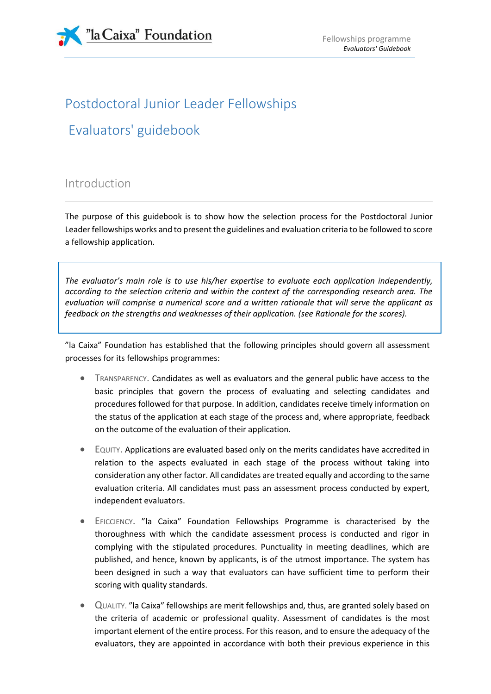# Postdoctoral Junior Leader Fellowships Evaluators' guidebook

# Introduction

The purpose of this guidebook is to show how the selection process for the Postdoctoral Junior Leader fellowships works and to present the guidelines and evaluation criteria to be followed to score a fellowship application.

*The evaluator's main role is to use his/her expertise to evaluate each application independently, according to the selection criteria and within the context of the corresponding research area. The evaluation will comprise a numerical score and a written rationale that will serve the applicant as feedback on the strengths and weaknesses of their application. (see Rationale for the scores).*

"la Caixa" Foundation has established that the following principles should govern all assessment processes for its fellowships programmes:

- TRANSPARENCY. Candidates as well as evaluators and the general public have access to the basic principles that govern the process of evaluating and selecting candidates and procedures followed for that purpose. In addition, candidates receive timely information on the status of the application at each stage of the process and, where appropriate, feedback on the outcome of the evaluation of their application.
- EQUITY. Applications are evaluated based only on the merits candidates have accredited in relation to the aspects evaluated in each stage of the process without taking into consideration any other factor. All candidates are treated equally and according to the same evaluation criteria. All candidates must pass an assessment process conducted by expert, independent evaluators.
- EFICCIENCY. "la Caixa" Foundation Fellowships Programme is characterised by the thoroughness with which the candidate assessment process is conducted and rigor in complying with the stipulated procedures. Punctuality in meeting deadlines, which are published, and hence, known by applicants, is of the utmost importance. The system has been designed in such a way that evaluators can have sufficient time to perform their scoring with quality standards.
- QUALITY. "la Caixa" fellowships are merit fellowships and, thus, are granted solely based on the criteria of academic or professional quality. Assessment of candidates is the most important element of the entire process. For this reason, and to ensure the adequacy of the evaluators, they are appointed in accordance with both their previous experience in this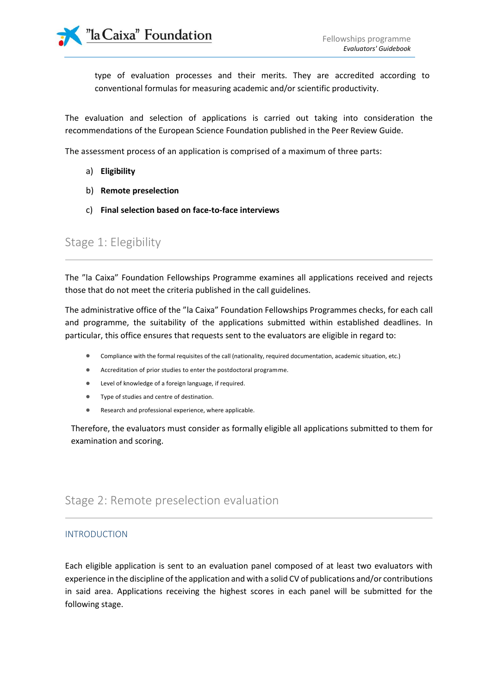

type of evaluation processes and their merits. They are accredited according to conventional formulas for measuring academic and/or scientific productivity.

The evaluation and selection of applications is carried out taking into consideration the recommendations of the European Science Foundation published in the Peer Review Guide.

The assessment process of an application is comprised of a maximum of three parts:

- a) **Eligibility**
- b) **Remote preselection**
- c) **Final selection based on face-to-face interviews**

# Stage 1: Elegibility

The "la Caixa" Foundation Fellowships Programme examines all applications received and rejects those that do not meet the criteria published in the call guidelines.

The administrative office of the "la Caixa" Foundation Fellowships Programmes checks, for each call and programme, the suitability of the applications submitted within established deadlines. In particular, this office ensures that requests sent to the evaluators are eligible in regard to:

- Compliance with the formal requisites of the call (nationality, required documentation, academic situation, etc.)
- Accreditation of prior studies to enter the postdoctoral programme.
- Level of knowledge of a foreign language, if required.
- Type of studies and centre of destination.
- Research and professional experience, where applicable.

Therefore, the evaluators must consider as formally eligible all applications submitted to them for examination and scoring.

# Stage 2: Remote preselection evaluation

#### INTRODUCTION

Each eligible application is sent to an evaluation panel composed of at least two evaluators with experience in the discipline of the application and with a solid CV of publications and/or contributions in said area. Applications receiving the highest scores in each panel will be submitted for the following stage.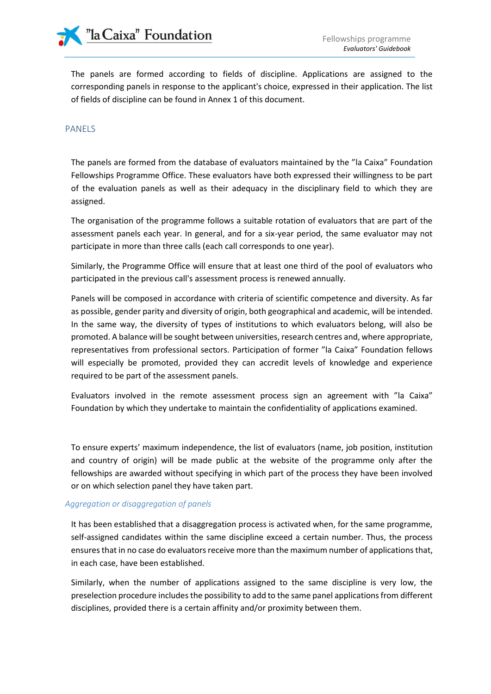

The panels are formed according to fields of discipline. Applications are assigned to the corresponding panels in response to the applicant's choice, expressed in their application. The list of fields of discipline can be found in Annex 1 of this document.

#### PANELS

The panels are formed from the database of evaluators maintained by the "la Caixa" Foundation Fellowships Programme Office. These evaluators have both expressed their willingness to be part of the evaluation panels as well as their adequacy in the disciplinary field to which they are assigned.

The organisation of the programme follows a suitable rotation of evaluators that are part of the assessment panels each year. In general, and for a six-year period, the same evaluator may not participate in more than three calls (each call corresponds to one year).

Similarly, the Programme Office will ensure that at least one third of the pool of evaluators who participated in the previous call's assessment process is renewed annually.

Panels will be composed in accordance with criteria of scientific competence and diversity. As far as possible, gender parity and diversity of origin, both geographical and academic, will be intended. In the same way, the diversity of types of institutions to which evaluators belong, will also be promoted. A balance will be sought between universities, research centres and, where appropriate, representatives from professional sectors. Participation of former "la Caixa" Foundation fellows will especially be promoted, provided they can accredit levels of knowledge and experience required to be part of the assessment panels.

Evaluators involved in the remote assessment process sign an agreement with "la Caixa" Foundation by which they undertake to maintain the confidentiality of applications examined.

To ensure experts' maximum independence, the list of evaluators (name, job position, institution and country of origin) will be made public at the website of the programme only after the fellowships are awarded without specifying in which part of the process they have been involved or on which selection panel they have taken part.

#### *Aggregation or disaggregation of panels*

It has been established that a disaggregation process is activated when, for the same programme, self-assigned candidates within the same discipline exceed a certain number. Thus, the process ensures that in no case do evaluators receive more than the maximum number of applications that, in each case, have been established.

Similarly, when the number of applications assigned to the same discipline is very low, the preselection procedure includes the possibility to add to the same panel applications from different disciplines, provided there is a certain affinity and/or proximity between them.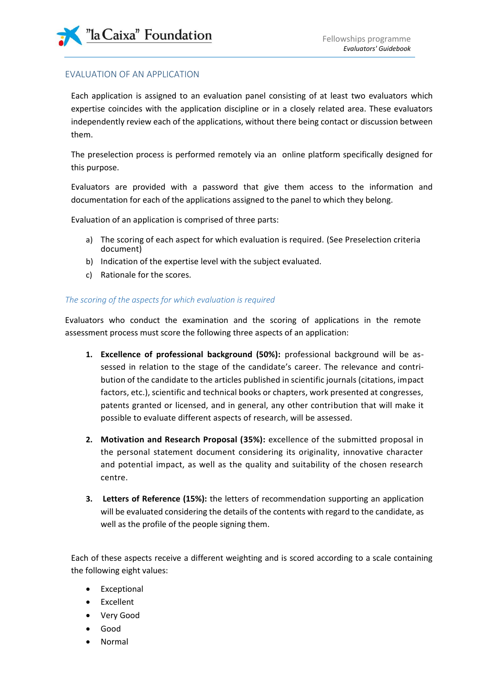"la Caixa" Foundation

## EVALUATION OF AN APPLICATION

Each application is assigned to an evaluation panel consisting of at least two evaluators which expertise coincides with the application discipline or in a closely related area. These evaluators independently review each of the applications, without there being contact or discussion between them.

The preselection process is performed remotely via an online platform specifically designed for this purpose.

Evaluators are provided with a password that give them access to the information and documentation for each of the applications assigned to the panel to which they belong.

Evaluation of an application is comprised of three parts:

- a) The scoring of each aspect for which evaluation is required. (See Preselection criteria document)
- b) Indication of the expertise level with the subject evaluated.
- c) Rationale for the scores.

## *The scoring of the aspects for which evaluation is required*

Evaluators who conduct the examination and the scoring of applications in the remote assessment process must score the following three aspects of an application:

- **1. Excellence of professional background (50%):** professional background will be assessed in relation to the stage of the candidate's career. The relevance and contribution of the candidate to the articles published in scientific journals (citations, impact factors, etc.), scientific and technical books or chapters, work presented at congresses, patents granted or licensed, and in general, any other contribution that will make it possible to evaluate different aspects of research, will be assessed.
- **2. Motivation and Research Proposal (35%):** excellence of the submitted proposal in the personal statement document considering its originality, innovative character and potential impact, as well as the quality and suitability of the chosen research centre.
- **3. Letters of Reference (15%):** the letters of recommendation supporting an application will be evaluated considering the details of the contents with regard to the candidate, as well as the profile of the people signing them.

Each of these aspects receive a different weighting and is scored according to a scale containing the following eight values:

- Exceptional
- Excellent
- Very Good
- Good
- Normal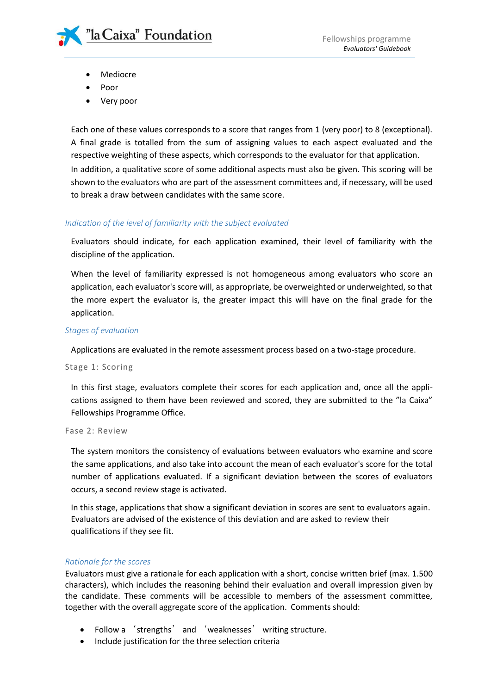

- Mediocre
- Poor
- Very poor

Each one of these values corresponds to a score that ranges from 1 (very poor) to 8 (exceptional). A final grade is totalled from the sum of assigning values to each aspect evaluated and the respective weighting of these aspects, which corresponds to the evaluator for that application. In addition, a qualitative score of some additional aspects must also be given. This scoring will be shown to the evaluators who are part of the assessment committees and, if necessary, will be used to break a draw between candidates with the same score.

#### *Indication of the level of familiarity with the subject evaluated*

Evaluators should indicate, for each application examined, their level of familiarity with the discipline of the application.

When the level of familiarity expressed is not homogeneous among evaluators who score an application, each evaluator's score will, as appropriate, be overweighted or underweighted, so that the more expert the evaluator is, the greater impact this will have on the final grade for the application.

#### *Stages of evaluation*

Applications are evaluated in the remote assessment process based on a two-stage procedure.

#### Stage 1: Scoring

In this first stage, evaluators complete their scores for each application and, once all the applications assigned to them have been reviewed and scored, they are submitted to the "la Caixa" Fellowships Programme Office.

#### Fase 2: Review

The system monitors the consistency of evaluations between evaluators who examine and score the same applications, and also take into account the mean of each evaluator's score for the total number of applications evaluated. If a significant deviation between the scores of evaluators occurs, a second review stage is activated.

In this stage, applications that show a significant deviation in scores are sent to evaluators again. Evaluators are advised of the existence of this deviation and are asked to review their qualifications if they see fit.

#### *Rationale for the scores*

Evaluators must give a rationale for each application with a short, concise written brief (max. 1.500 characters), which includes the reasoning behind their evaluation and overall impression given by the candidate. These comments will be accessible to members of the assessment committee, together with the overall aggregate score of the application. Comments should:

- Follow a 'strengths' and 'weaknesses' writing structure.
- Include justification for the three selection criteria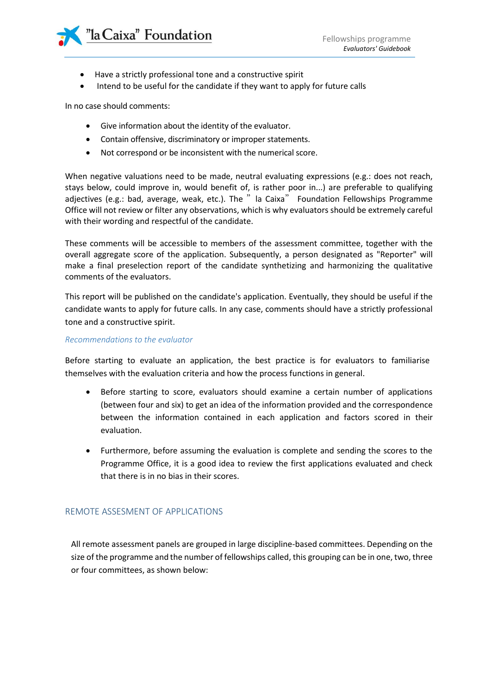

- Have a strictly professional tone and a constructive spirit
- Intend to be useful for the candidate if they want to apply for future calls

In no case should comments:

- Give information about the identity of the evaluator.
- Contain offensive, discriminatory or improper statements.
- Not correspond or be inconsistent with the numerical score.

When negative valuations need to be made, neutral evaluating expressions (e.g.: does not reach, stays below, could improve in, would benefit of, is rather poor in...) are preferable to qualifying adjectives (e.g.: bad, average, weak, etc.). The " la Caixa" Foundation Fellowships Programme Office will not review or filter any observations, which is why evaluators should be extremely careful with their wording and respectful of the candidate.

These comments will be accessible to members of the assessment committee, together with the overall aggregate score of the application. Subsequently, a person designated as "Reporter" will make a final preselection report of the candidate synthetizing and harmonizing the qualitative comments of the evaluators.

This report will be published on the candidate's application. Eventually, they should be useful if the candidate wants to apply for future calls. In any case, comments should have a strictly professional tone and a constructive spirit.

#### *Recommendations to the evaluator*

Before starting to evaluate an application, the best practice is for evaluators to familiarise themselves with the evaluation criteria and how the process functions in general.

- Before starting to score, evaluators should examine a certain number of applications (between four and six) to get an idea of the information provided and the correspondence between the information contained in each application and factors scored in their evaluation.
- Furthermore, before assuming the evaluation is complete and sending the scores to the Programme Office, it is a good idea to review the first applications evaluated and check that there is in no bias in their scores.

## REMOTE ASSESMENT OF APPLICATIONS

All remote assessment panels are grouped in large discipline-based committees. Depending on the size of the programme and the number of fellowships called, this grouping can be in one, two, three or four committees, as shown below: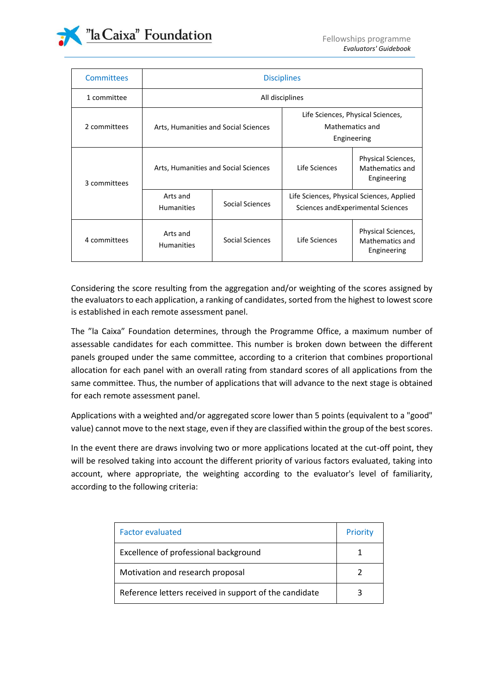

| <b>Committees</b> | <b>Disciplines</b>                   |                 |                                                                                 |                                                      |
|-------------------|--------------------------------------|-----------------|---------------------------------------------------------------------------------|------------------------------------------------------|
| 1 committee       | All disciplines                      |                 |                                                                                 |                                                      |
| 2 committees      | Arts, Humanities and Social Sciences |                 | Life Sciences, Physical Sciences,<br>Mathematics and<br>Engineering             |                                                      |
| 3 committees      | Arts, Humanities and Social Sciences |                 | Life Sciences                                                                   | Physical Sciences,<br>Mathematics and<br>Engineering |
|                   | Arts and<br><b>Humanities</b>        | Social Sciences | Life Sciences, Physical Sciences, Applied<br>Sciences and Experimental Sciences |                                                      |
| 4 committees      | Arts and<br><b>Humanities</b>        | Social Sciences | Life Sciences                                                                   | Physical Sciences,<br>Mathematics and<br>Engineering |

Considering the score resulting from the aggregation and/or weighting of the scores assigned by the evaluators to each application, a ranking of candidates, sorted from the highest to lowest score is established in each remote assessment panel.

The "la Caixa" Foundation determines, through the Programme Office, a maximum number of assessable candidates for each committee. This number is broken down between the different panels grouped under the same committee, according to a criterion that combines proportional allocation for each panel with an overall rating from standard scores of all applications from the same committee. Thus, the number of applications that will advance to the next stage is obtained for each remote assessment panel.

Applications with a weighted and/or aggregated score lower than 5 points (equivalent to a "good" value) cannot move to the next stage, even if they are classified within the group of the best scores.

In the event there are draws involving two or more applications located at the cut-off point, they will be resolved taking into account the different priority of various factors evaluated, taking into account, where appropriate, the weighting according to the evaluator's level of familiarity, according to the following criteria:

| <b>Factor evaluated</b>                                | Priority |
|--------------------------------------------------------|----------|
| Excellence of professional background                  |          |
| Motivation and research proposal                       |          |
| Reference letters received in support of the candidate |          |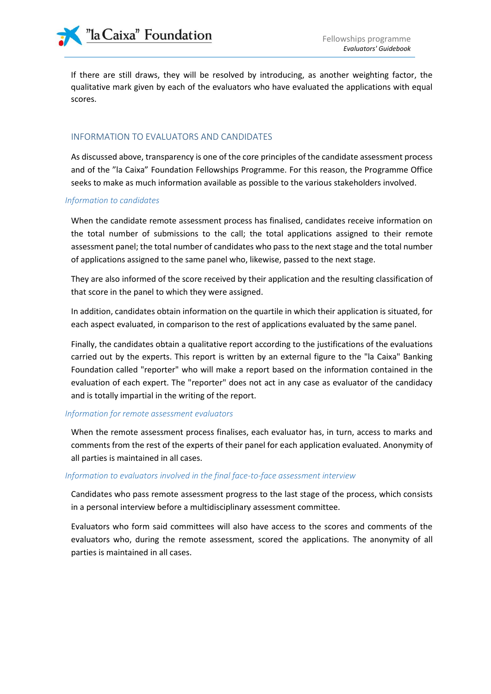"la Caixa" Foundation

If there are still draws, they will be resolved by introducing, as another weighting factor, the qualitative mark given by each of the evaluators who have evaluated the applications with equal scores.

#### INFORMATION TO EVALUATORS AND CANDIDATES

As discussed above, transparency is one of the core principles of the candidate assessment process and of the "la Caixa" Foundation Fellowships Programme. For this reason, the Programme Office seeks to make as much information available as possible to the various stakeholders involved.

#### *Information to candidates*

When the candidate remote assessment process has finalised, candidates receive information on the total number of submissions to the call; the total applications assigned to their remote assessment panel; the total number of candidates who pass to the next stage and the total number of applications assigned to the same panel who, likewise, passed to the next stage.

They are also informed of the score received by their application and the resulting classification of that score in the panel to which they were assigned.

In addition, candidates obtain information on the quartile in which their application is situated, for each aspect evaluated, in comparison to the rest of applications evaluated by the same panel.

Finally, the candidates obtain a qualitative report according to the justifications of the evaluations carried out by the experts. This report is written by an external figure to the "la Caixa" Banking Foundation called "reporter" who will make a report based on the information contained in the evaluation of each expert. The "reporter" does not act in any case as evaluator of the candidacy and is totally impartial in the writing of the report.

#### *Information for remote assessment evaluators*

When the remote assessment process finalises, each evaluator has, in turn, access to marks and comments from the rest of the experts of their panel for each application evaluated. Anonymity of all parties is maintained in all cases.

#### *Information to evaluators involved in the final face-to-face assessment interview*

Candidates who pass remote assessment progress to the last stage of the process, which consists in a personal interview before a multidisciplinary assessment committee.

Evaluators who form said committees will also have access to the scores and comments of the evaluators who, during the remote assessment, scored the applications. The anonymity of all parties is maintained in all cases.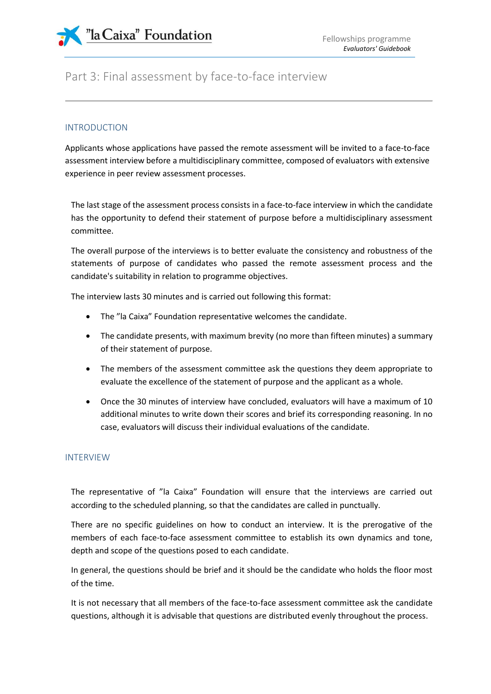# Part 3: Final assessment by face-to-face interview

# INTRODUCTION

Applicants whose applications have passed the remote assessment will be invited to a face-to-face assessment interview before a multidisciplinary committee, composed of evaluators with extensive experience in peer review assessment processes.

The last stage of the assessment process consists in a face-to-face interview in which the candidate has the opportunity to defend their statement of purpose before a multidisciplinary assessment committee.

The overall purpose of the interviews is to better evaluate the consistency and robustness of the statements of purpose of candidates who passed the remote assessment process and the candidate's suitability in relation to programme objectives.

The interview lasts 30 minutes and is carried out following this format:

- The "la Caixa" Foundation representative welcomes the candidate.
- The candidate presents, with maximum brevity (no more than fifteen minutes) a summary of their statement of purpose.
- The members of the assessment committee ask the questions they deem appropriate to evaluate the excellence of the statement of purpose and the applicant as a whole.
- Once the 30 minutes of interview have concluded, evaluators will have a maximum of 10 additional minutes to write down their scores and brief its corresponding reasoning. In no case, evaluators will discuss their individual evaluations of the candidate.

#### INTERVIEW

The representative of "la Caixa" Foundation will ensure that the interviews are carried out according to the scheduled planning, so that the candidates are called in punctually.

There are no specific guidelines on how to conduct an interview. It is the prerogative of the members of each face-to-face assessment committee to establish its own dynamics and tone, depth and scope of the questions posed to each candidate.

In general, the questions should be brief and it should be the candidate who holds the floor most of the time.

It is not necessary that all members of the face-to-face assessment committee ask the candidate questions, although it is advisable that questions are distributed evenly throughout the process.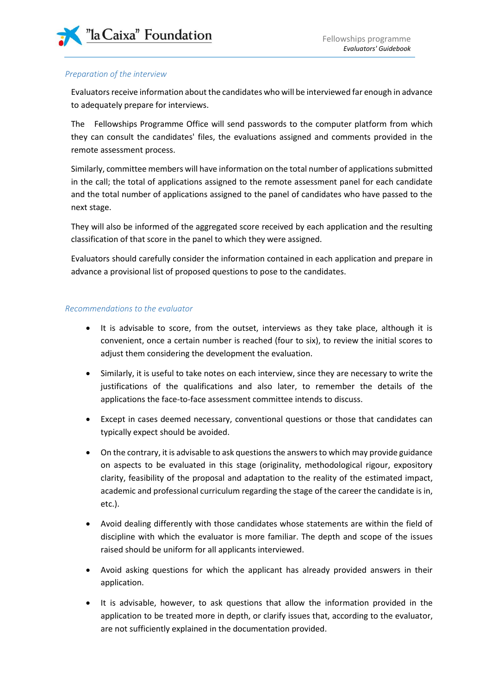

## *Preparation of the interview*

Evaluators receive information about the candidates who will be interviewed far enough in advance to adequately prepare for interviews.

The Fellowships Programme Office will send passwords to the computer platform from which they can consult the candidates' files, the evaluations assigned and comments provided in the remote assessment process.

Similarly, committee members will have information on the total number of applications submitted in the call; the total of applications assigned to the remote assessment panel for each candidate and the total number of applications assigned to the panel of candidates who have passed to the next stage.

They will also be informed of the aggregated score received by each application and the resulting classification of that score in the panel to which they were assigned.

Evaluators should carefully consider the information contained in each application and prepare in advance a provisional list of proposed questions to pose to the candidates.

#### *Recommendations to the evaluator*

- It is advisable to score, from the outset, interviews as they take place, although it is convenient, once a certain number is reached (four to six), to review the initial scores to adjust them considering the development the evaluation.
- Similarly, it is useful to take notes on each interview, since they are necessary to write the justifications of the qualifications and also later, to remember the details of the applications the face-to-face assessment committee intends to discuss.
- Except in cases deemed necessary, conventional questions or those that candidates can typically expect should be avoided.
- On the contrary, it is advisable to ask questions the answers to which may provide guidance on aspects to be evaluated in this stage (originality, methodological rigour, expository clarity, feasibility of the proposal and adaptation to the reality of the estimated impact, academic and professional curriculum regarding the stage of the career the candidate is in, etc.).
- Avoid dealing differently with those candidates whose statements are within the field of discipline with which the evaluator is more familiar. The depth and scope of the issues raised should be uniform for all applicants interviewed.
- Avoid asking questions for which the applicant has already provided answers in their application.
- It is advisable, however, to ask questions that allow the information provided in the application to be treated more in depth, or clarify issues that, according to the evaluator, are not sufficiently explained in the documentation provided.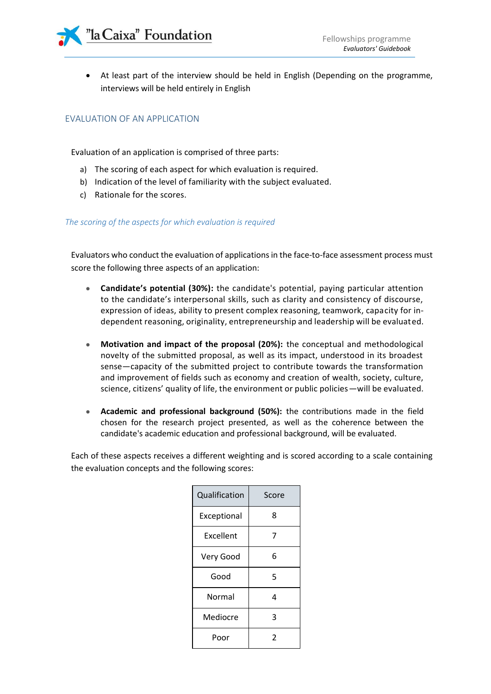

• At least part of the interview should be held in English (Depending on the programme, interviews will be held entirely in English

#### EVALUATION OF AN APPLICATION

Evaluation of an application is comprised of three parts:

- a) The scoring of each aspect for which evaluation is required.
- b) Indication of the level of familiarity with the subject evaluated.
- c) Rationale for the scores.

#### *The scoring of the aspects for which evaluation is required*

Evaluators who conduct the evaluation of applications in the face-to-face assessment process must score the following three aspects of an application:

- **Candidate's potential (30%):** the candidate's potential, paying particular attention to the candidate's interpersonal skills, such as clarity and consistency of discourse, expression of ideas, ability to present complex reasoning, teamwork, capacity for independent reasoning, originality, entrepreneurship and leadership will be evaluated.
- **Motivation and impact of the proposal (20%):** the conceptual and methodological novelty of the submitted proposal, as well as its impact, understood in its broadest sense—capacity of the submitted project to contribute towards the transformation and improvement of fields such as economy and creation of wealth, society, culture, science, citizens' quality of life, the environment or public policies—will be evaluated.
- **Academic and professional background (50%):** the contributions made in the field chosen for the research project presented, as well as the coherence between the candidate's academic education and professional background, will be evaluated.

Each of these aspects receives a different weighting and is scored according to a scale containing the evaluation concepts and the following scores:

| Qualification | Score |
|---------------|-------|
| Exceptional   | 8     |
| Excellent     | 7     |
| Very Good     | 6     |
| Good          | 5     |
| Normal        | 4     |
| Mediocre      | 3     |
| Poor          | 2     |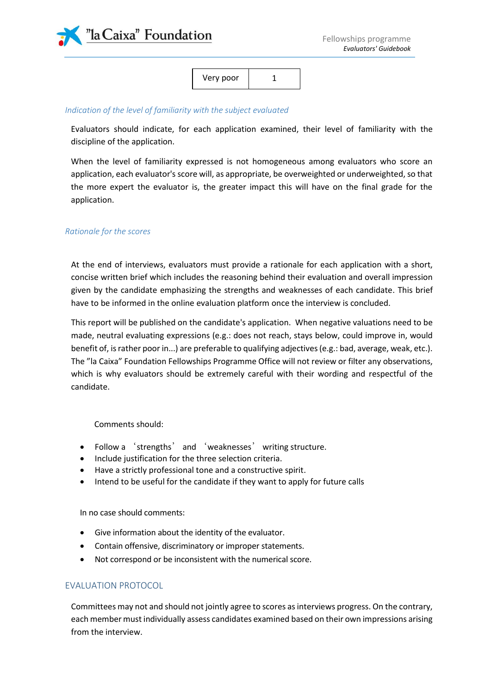

| Very poor |  |
|-----------|--|
|           |  |

#### *Indication of the level of familiarity with the subject evaluated*

Evaluators should indicate, for each application examined, their level of familiarity with the discipline of the application.

When the level of familiarity expressed is not homogeneous among evaluators who score an application, each evaluator's score will, as appropriate, be overweighted or underweighted, so that the more expert the evaluator is, the greater impact this will have on the final grade for the application.

#### *Rationale for the scores*

At the end of interviews, evaluators must provide a rationale for each application with a short, concise written brief which includes the reasoning behind their evaluation and overall impression given by the candidate emphasizing the strengths and weaknesses of each candidate. This brief have to be informed in the online evaluation platform once the interview is concluded.

This report will be published on the candidate's application. When negative valuations need to be made, neutral evaluating expressions (e.g.: does not reach, stays below, could improve in, would benefit of, is rather poor in...) are preferable to qualifying adjectives (e.g.: bad, average, weak, etc.). The "la Caixa" Foundation Fellowships Programme Office will not review or filter any observations, which is why evaluators should be extremely careful with their wording and respectful of the candidate.

Comments should:

- Follow a 'strengths' and 'weaknesses' writing structure.
- Include justification for the three selection criteria.
- Have a strictly professional tone and a constructive spirit.
- Intend to be useful for the candidate if they want to apply for future calls

In no case should comments:

- Give information about the identity of the evaluator.
- Contain offensive, discriminatory or improper statements.
- Not correspond or be inconsistent with the numerical score.

## EVALUATION PROTOCOL

Committees may not and should not jointly agree to scores as interviews progress. On the contrary, each member must individually assess candidates examined based on their own impressions arising from the interview.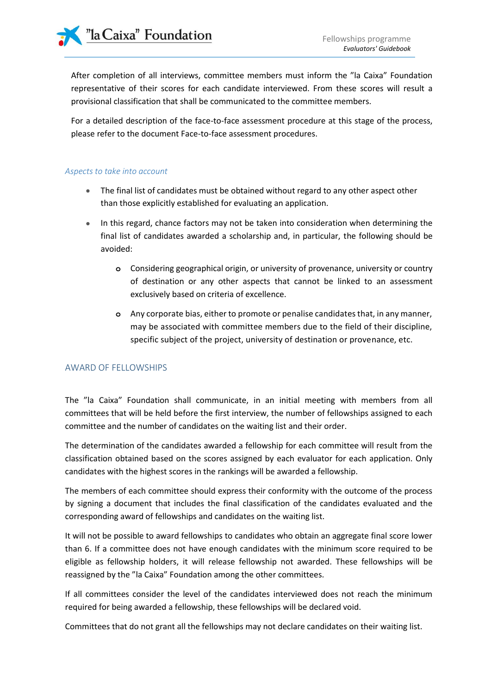After completion of all interviews, committee members must inform the "la Caixa" Foundation representative of their scores for each candidate interviewed. From these scores will result a provisional classification that shall be communicated to the committee members.

For a detailed description of the face-to-face assessment procedure at this stage of the process, please refer to the document Face-to-face assessment procedures.

#### *Aspects to take into account*

- The final list of candidates must be obtained without regard to any other aspect other than those explicitly established for evaluating an application.
- In this regard, chance factors may not be taken into consideration when determining the final list of candidates awarded a scholarship and, in particular, the following should be avoided:
	- **o** Considering geographical origin, or university of provenance, university or country of destination or any other aspects that cannot be linked to an assessment exclusively based on criteria of excellence.
	- **o** Any corporate bias, either to promote or penalise candidates that, in any manner, may be associated with committee members due to the field of their discipline, specific subject of the project, university of destination or provenance, etc.

#### AWARD OF FELLOWSHIPS

The "la Caixa" Foundation shall communicate, in an initial meeting with members from all committees that will be held before the first interview, the number of fellowships assigned to each committee and the number of candidates on the waiting list and their order.

The determination of the candidates awarded a fellowship for each committee will result from the classification obtained based on the scores assigned by each evaluator for each application. Only candidates with the highest scores in the rankings will be awarded a fellowship.

The members of each committee should express their conformity with the outcome of the process by signing a document that includes the final classification of the candidates evaluated and the corresponding award of fellowships and candidates on the waiting list.

It will not be possible to award fellowships to candidates who obtain an aggregate final score lower than 6. If a committee does not have enough candidates with the minimum score required to be eligible as fellowship holders, it will release fellowship not awarded. These fellowships will be reassigned by the "la Caixa" Foundation among the other committees.

If all committees consider the level of the candidates interviewed does not reach the minimum required for being awarded a fellowship, these fellowships will be declared void.

Committees that do not grant all the fellowships may not declare candidates on their waiting list.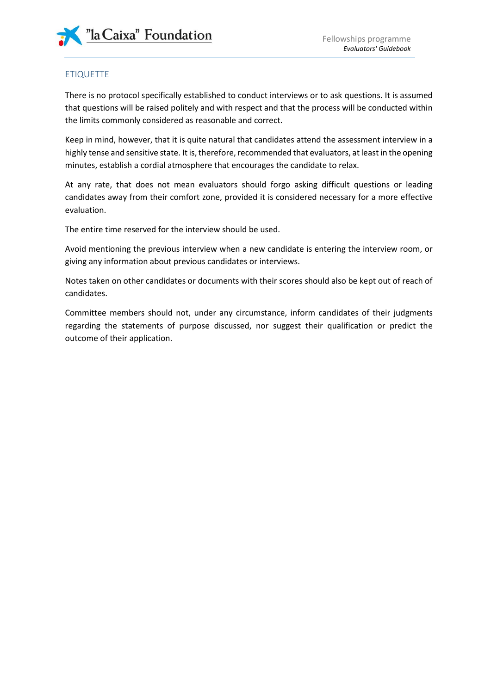

## ETIQUETTE

There is no protocol specifically established to conduct interviews or to ask questions. It is assumed that questions will be raised politely and with respect and that the process will be conducted within the limits commonly considered as reasonable and correct.

Keep in mind, however, that it is quite natural that candidates attend the assessment interview in a highly tense and sensitive state. It is, therefore, recommended that evaluators, at least in the opening minutes, establish a cordial atmosphere that encourages the candidate to relax.

At any rate, that does not mean evaluators should forgo asking difficult questions or leading candidates away from their comfort zone, provided it is considered necessary for a more effective evaluation.

The entire time reserved for the interview should be used.

Avoid mentioning the previous interview when a new candidate is entering the interview room, or giving any information about previous candidates or interviews.

Notes taken on other candidates or documents with their scores should also be kept out of reach of candidates.

Committee members should not, under any circumstance, inform candidates of their judgments regarding the statements of purpose discussed, nor suggest their qualification or predict the outcome of their application.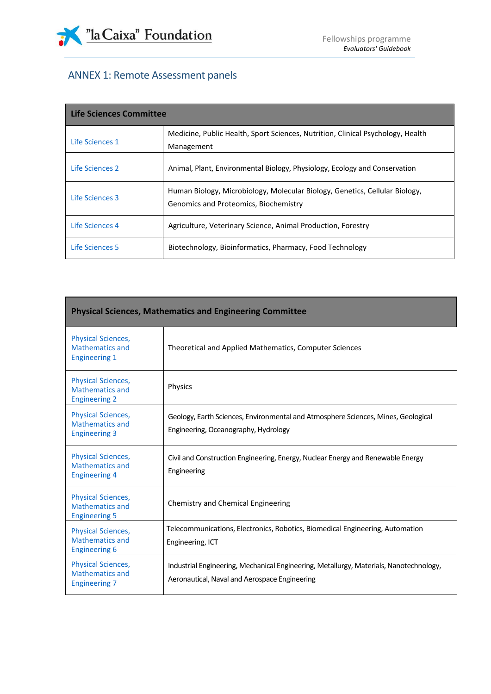# ANNEX 1: Remote Assessment panels

| Life Sciences Committee |                                                                                                                      |  |
|-------------------------|----------------------------------------------------------------------------------------------------------------------|--|
| Life Sciences 1         | Medicine, Public Health, Sport Sciences, Nutrition, Clinical Psychology, Health<br>Management                        |  |
| Life Sciences 2         | Animal, Plant, Environmental Biology, Physiology, Ecology and Conservation                                           |  |
| Life Sciences 3         | Human Biology, Microbiology, Molecular Biology, Genetics, Cellular Biology,<br>Genomics and Proteomics, Biochemistry |  |
| Life Sciences 4         | Agriculture, Veterinary Science, Animal Production, Forestry                                                         |  |
| Life Sciences 5         | Biotechnology, Bioinformatics, Pharmacy, Food Technology                                                             |  |

| <b>Physical Sciences, Mathematics and Engineering Committee</b>             |                                                                                                                                         |  |
|-----------------------------------------------------------------------------|-----------------------------------------------------------------------------------------------------------------------------------------|--|
| <b>Physical Sciences,</b><br><b>Mathematics and</b><br><b>Engineering 1</b> | Theoretical and Applied Mathematics, Computer Sciences                                                                                  |  |
| <b>Physical Sciences,</b><br><b>Mathematics and</b><br><b>Engineering 2</b> | Physics                                                                                                                                 |  |
| <b>Physical Sciences,</b><br><b>Mathematics and</b><br><b>Engineering 3</b> | Geology, Earth Sciences, Environmental and Atmosphere Sciences, Mines, Geological<br>Engineering, Oceanography, Hydrology               |  |
| <b>Physical Sciences,</b><br><b>Mathematics and</b><br><b>Engineering 4</b> | Civil and Construction Engineering, Energy, Nuclear Energy and Renewable Energy<br>Engineering                                          |  |
| <b>Physical Sciences,</b><br><b>Mathematics and</b><br><b>Engineering 5</b> | Chemistry and Chemical Engineering                                                                                                      |  |
| <b>Physical Sciences,</b><br><b>Mathematics and</b><br><b>Engineering 6</b> | Telecommunications, Electronics, Robotics, Biomedical Engineering, Automation<br>Engineering, ICT                                       |  |
| <b>Physical Sciences,</b><br><b>Mathematics and</b><br><b>Engineering 7</b> | Industrial Engineering, Mechanical Engineering, Metallurgy, Materials, Nanotechnology,<br>Aeronautical, Naval and Aerospace Engineering |  |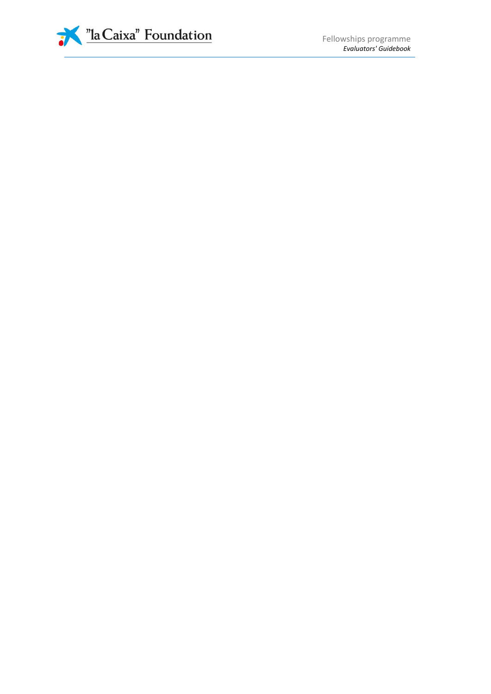